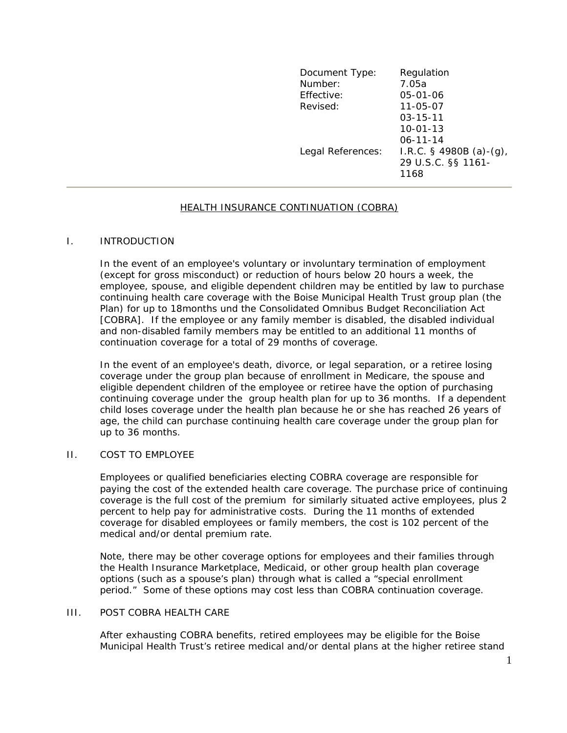| Document Type:<br>Number: | Regulation<br>7.05a                                      |
|---------------------------|----------------------------------------------------------|
| Effective:                | 05-01-06                                                 |
| Revised:                  | 11-05-07                                                 |
|                           | $03 - 15 - 11$                                           |
|                           | $10 - 01 - 13$                                           |
|                           | $06 - 11 - 14$                                           |
| Legal References:         | I.R.C. $\S$ 4980B (a)-(g),<br>29 U.S.C. §§ 1161-<br>1168 |
|                           |                                                          |

## HEALTH INSURANCE CONTINUATION (COBRA)

#### I. INTRODUCTION

In the event of an employee's voluntary or involuntary termination of employment (except for gross misconduct) or reduction of hours below 20 hours a week, the employee, spouse, and eligible dependent children may be entitled by law to purchase continuing health care coverage with the Boise Municipal Health Trust group plan (the Plan) for up to 18months und the Consolidated Omnibus Budget Reconciliation Act [COBRA]. If the employee or any family member is disabled, the disabled individual and non-disabled family members may be entitled to an additional 11 months of continuation coverage for a total of 29 months of coverage.

In the event of an employee's death, divorce, or legal separation, or a retiree losing coverage under the group plan because of enrollment in Medicare, the spouse and eligible dependent children of the employee or retiree have the option of purchasing continuing coverage under the group health plan for up to 36 months. If a dependent child loses coverage under the health plan because he or she has reached 26 years of age, the child can purchase continuing health care coverage under the group plan for up to 36 months.

## II. COST TO EMPLOYEE

Employees or qualified beneficiaries electing COBRA coverage are responsible for paying the cost of the extended health care coverage. The purchase price of continuing coverage is the full cost of the premium for similarly situated active employees, plus 2 percent to help pay for administrative costs. During the 11 months of extended coverage for disabled employees or family members, the cost is 102 percent of the medical and/or dental premium rate.

Note, there may be other coverage options for employees and their families through the Health Insurance Marketplace, Medicaid, or other group health plan coverage options (such as a spouse's plan) through what is called a "special enrollment period." Some of these options may cost less than COBRA continuation coverage.

# III. POST COBRA HEALTH CARE

After exhausting COBRA benefits, retired employees may be eligible for the Boise Municipal Health Trust's retiree medical and/or dental plans at the higher retiree stand